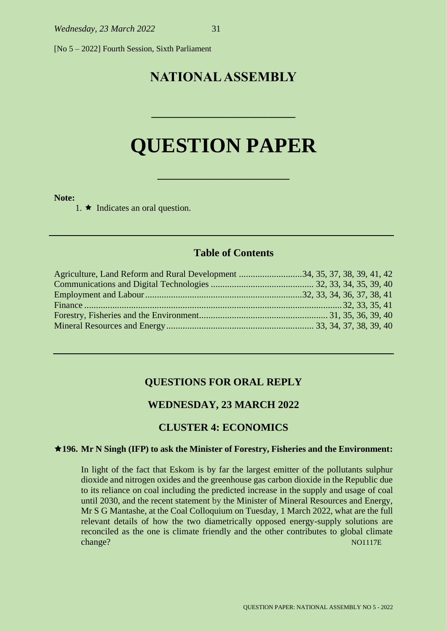[No 5 – 2022] Fourth Session, Sixth Parliament

# **NATIONAL ASSEMBLY**

# **QUESTION PAPER**

**\_\_\_\_\_\_\_\_\_\_\_\_\_\_\_\_\_\_\_\_\_\_**

**\_\_\_\_\_\_\_\_\_\_\_\_\_\_\_\_\_\_\_\_\_\_\_\_**

#### **Note:**

1.  $\star$  Indicates an oral question.

## **Table of Contents**

| Agriculture, Land Reform and Rural Development 34, 35, 37, 38, 39, 41, 42 |  |
|---------------------------------------------------------------------------|--|
|                                                                           |  |
|                                                                           |  |
|                                                                           |  |
|                                                                           |  |
|                                                                           |  |

#### **QUESTIONS FOR ORAL REPLY**

#### **WEDNESDAY, 23 MARCH 2022**

#### **CLUSTER 4: ECONOMICS**

#### **196. Mr N Singh (IFP) to ask the Minister of Forestry, Fisheries and the Environment:**

In light of the fact that Eskom is by far the largest emitter of the pollutants sulphur dioxide and nitrogen oxides and the greenhouse gas carbon dioxide in the Republic due to its reliance on coal including the predicted increase in the supply and usage of coal until 2030, and the recent statement by the Minister of Mineral Resources and Energy, Mr S G Mantashe, at the Coal Colloquium on Tuesday, 1 March 2022, what are the full relevant details of how the two diametrically opposed energy-supply solutions are reconciled as the one is climate friendly and the other contributes to global climate change? NO1117E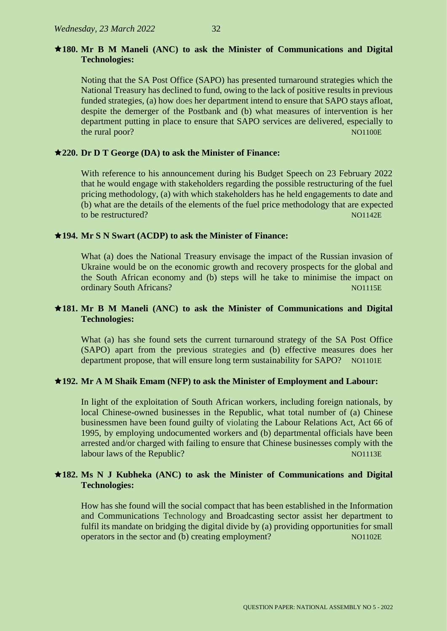## **180. Mr B M Maneli (ANC) to ask the Minister of Communications and Digital Technologies:**

Noting that the SA Post Office (SAPO) has presented turnaround strategies which the National Treasury has declined to fund, owing to the lack of positive results in previous funded strategies, (a) how does her department intend to ensure that SAPO stays afloat, despite the demerger of the Postbank and (b) what measures of intervention is her department putting in place to ensure that SAPO services are delivered, especially to the rural poor? NO1100E

## **220. Dr D T George (DA) to ask the Minister of Finance:**

With reference to his announcement during his Budget Speech on 23 February 2022 that he would engage with stakeholders regarding the possible restructuring of the fuel pricing methodology, (a) with which stakeholders has he held engagements to date and (b) what are the details of the elements of the fuel price methodology that are expected to be restructured? Note that the set of the set of the set of the set of the set of the set of the set of the set of the set of the set of the set of the set of the set of the set of the set of the set of the set of the s

## **194. Mr S N Swart (ACDP) to ask the Minister of Finance:**

What (a) does the National Treasury envisage the impact of the Russian invasion of Ukraine would be on the economic growth and recovery prospects for the global and the South African economy and (b) steps will he take to minimise the impact on ordinary South Africans? Note that the contract of the contract of the contract of the contract of the contract of the contract of the contract of the contract of the contract of the contract of the contract of the contrac

## **181. Mr B M Maneli (ANC) to ask the Minister of Communications and Digital Technologies:**

What (a) has she found sets the current turnaround strategy of the SA Post Office (SAPO) apart from the previous strategies and (b) effective measures does her department propose, that will ensure long term sustainability for SAPO? NO1101E

## **192. Mr A M Shaik Emam (NFP) to ask the Minister of Employment and Labour:**

In light of the exploitation of South African workers, including foreign nationals, by local Chinese-owned businesses in the Republic, what total number of (a) Chinese businessmen have been found guilty of violating the Labour Relations Act, Act 66 of 1995, by employing undocumented workers and (b) departmental officials have been arrested and/or charged with failing to ensure that Chinese businesses comply with the labour laws of the Republic? Notified the Notation of the Republic expansion of the Republic expansion of the No

## **182. Ms N J Kubheka (ANC) to ask the Minister of Communications and Digital Technologies:**

How has she found will the social compact that has been established in the Information and Communications Technology and Broadcasting sector assist her department to fulfil its mandate on bridging the digital divide by (a) providing opportunities for small operators in the sector and (b) creating employment? NO1102E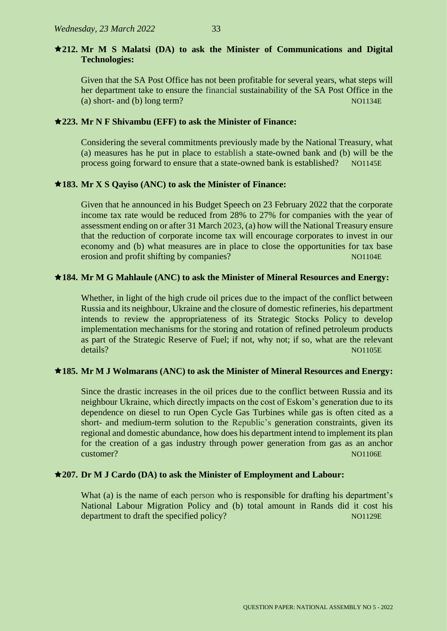## **212. Mr M S Malatsi (DA) to ask the Minister of Communications and Digital Technologies:**

Given that the SA Post Office has not been profitable for several years, what steps will her department take to ensure the financial sustainability of the SA Post Office in the (a) short- and (b) long term?  $N01134E$ 

## **223. Mr N F Shivambu (EFF) to ask the Minister of Finance:**

Considering the several commitments previously made by the National Treasury, what (a) measures has he put in place to establish a state-owned bank and (b) will be the process going forward to ensure that a state-owned bank is established? NO1145E

## **183. Mr X S Qayiso (ANC) to ask the Minister of Finance:**

Given that he announced in his Budget Speech on 23 February 2022 that the corporate income tax rate would be reduced from 28% to 27% for companies with the year of assessment ending on or after 31 March 2023, (a) how will the National Treasury ensure that the reduction of corporate income tax will encourage corporates to invest in our economy and (b) what measures are in place to close the opportunities for tax base erosion and profit shifting by companies? NO1104E

## **184. Mr M G Mahlaule (ANC) to ask the Minister of Mineral Resources and Energy:**

Whether, in light of the high crude oil prices due to the impact of the conflict between Russia and its neighbour, Ukraine and the closure of domestic refineries, his department intends to review the appropriateness of its Strategic Stocks Policy to develop implementation mechanisms for the storing and rotation of refined petroleum products as part of the Strategic Reserve of Fuel; if not, why not; if so, what are the relevant details? NO1105E

## **185. Mr M J Wolmarans (ANC) to ask the Minister of Mineral Resources and Energy:**

Since the drastic increases in the oil prices due to the conflict between Russia and its neighbour Ukraine, which directly impacts on the cost of Eskom's generation due to its dependence on diesel to run Open Cycle Gas Turbines while gas is often cited as a short- and medium-term solution to the Republic's generation constraints, given its regional and domestic abundance, how does his department intend to implement its plan for the creation of a gas industry through power generation from gas as an anchor customer? NO1106E

## **207. Dr M J Cardo (DA) to ask the Minister of Employment and Labour:**

What (a) is the name of each person who is responsible for drafting his department's National Labour Migration Policy and (b) total amount in Rands did it cost his department to draft the specified policy? NO1129E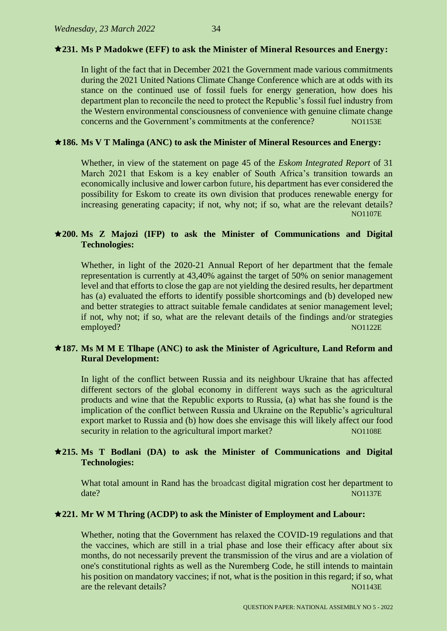#### **231. Ms P Madokwe (EFF) to ask the Minister of Mineral Resources and Energy:**

In light of the fact that in December 2021 the Government made various commitments during the 2021 United Nations Climate Change Conference which are at odds with its stance on the continued use of fossil fuels for energy generation, how does his department plan to reconcile the need to protect the Republic's fossil fuel industry from the Western environmental consciousness of convenience with genuine climate change concerns and the Government's commitments at the conference? NO1153E

#### **186. Ms V T Malinga (ANC) to ask the Minister of Mineral Resources and Energy:**

Whether, in view of the statement on page 45 of the *Eskom Integrated Report* of 31 March 2021 that Eskom is a key enabler of South Africa's transition towards an economically inclusive and lower carbon future, his department has ever considered the possibility for Eskom to create its own division that produces renewable energy for increasing generating capacity; if not, why not; if so, what are the relevant details? NO1107E

#### **200. Ms Z Majozi (IFP) to ask the Minister of Communications and Digital Technologies:**

Whether, in light of the 2020-21 Annual Report of her department that the female representation is currently at 43,40% against the target of 50% on senior management level and that efforts to close the gap are not yielding the desired results, her department has (a) evaluated the efforts to identify possible shortcomings and (b) developed new and better strategies to attract suitable female candidates at senior management level; if not, why not; if so, what are the relevant details of the findings and/or strategies employed? NO1122E

#### **187. Ms M M E Tlhape (ANC) to ask the Minister of Agriculture, Land Reform and Rural Development:**

In light of the conflict between Russia and its neighbour Ukraine that has affected different sectors of the global economy in different ways such as the agricultural products and wine that the Republic exports to Russia, (a) what has she found is the implication of the conflict between Russia and Ukraine on the Republic's agricultural export market to Russia and (b) how does she envisage this will likely affect our food security in relation to the agricultural import market? NO1108E

#### **215. Ms T Bodlani (DA) to ask the Minister of Communications and Digital Technologies:**

What total amount in Rand has the broadcast digital migration cost her department to date? NO1137E

#### **221. Mr W M Thring (ACDP) to ask the Minister of Employment and Labour:**

Whether, noting that the Government has relaxed the COVID-19 regulations and that the vaccines, which are still in a trial phase and lose their efficacy after about six months, do not necessarily prevent the transmission of the virus and are a violation of one's constitutional rights as well as the Nuremberg Code, he still intends to maintain his position on mandatory vaccines; if not, what is the position in this regard; if so, what are the relevant details? No have a set of the relevant details are the relevant details and  $\mu$  NO1143E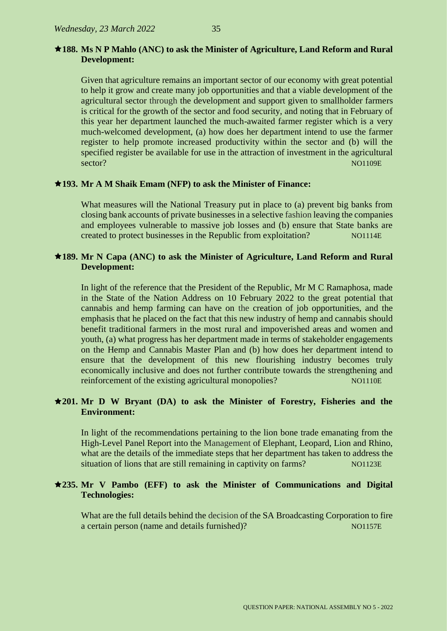#### **188. Ms N P Mahlo (ANC) to ask the Minister of Agriculture, Land Reform and Rural Development:**

Given that agriculture remains an important sector of our economy with great potential to help it grow and create many job opportunities and that a viable development of the agricultural sector through the development and support given to smallholder farmers is critical for the growth of the sector and food security, and noting that in February of this year her department launched the much-awaited farmer register which is a very much-welcomed development, (a) how does her department intend to use the farmer register to help promote increased productivity within the sector and (b) will the specified register be available for use in the attraction of investment in the agricultural sector? NO1109E

#### **193. Mr A M Shaik Emam (NFP) to ask the Minister of Finance:**

What measures will the National Treasury put in place to (a) prevent big banks from closing bank accounts of private businesses in a selective fashion leaving the companies and employees vulnerable to massive job losses and (b) ensure that State banks are created to protect businesses in the Republic from exploitation? NO1114E

#### **189. Mr N Capa (ANC) to ask the Minister of Agriculture, Land Reform and Rural Development:**

In light of the reference that the President of the Republic, Mr M C Ramaphosa, made in the State of the Nation Address on 10 February 2022 to the great potential that cannabis and hemp farming can have on the creation of job opportunities, and the emphasis that he placed on the fact that this new industry of hemp and cannabis should benefit traditional farmers in the most rural and impoverished areas and women and youth, (a) what progress has her department made in terms of stakeholder engagements on the Hemp and Cannabis Master Plan and (b) how does her department intend to ensure that the development of this new flourishing industry becomes truly economically inclusive and does not further contribute towards the strengthening and reinforcement of the existing agricultural monopolies? NO1110E

#### **201. Mr D W Bryant (DA) to ask the Minister of Forestry, Fisheries and the Environment:**

In light of the recommendations pertaining to the lion bone trade emanating from the High-Level Panel Report into the Management of Elephant, Leopard, Lion and Rhino, what are the details of the immediate steps that her department has taken to address the situation of lions that are still remaining in captivity on farms? NO1123E

#### **235. Mr V Pambo (EFF) to ask the Minister of Communications and Digital Technologies:**

What are the full details behind the decision of the SA Broadcasting Corporation to fire a certain person (name and details furnished)? NO1157E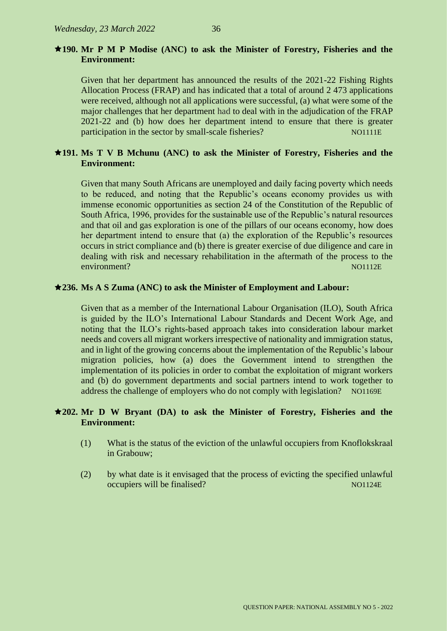#### **190. Mr P M P Modise (ANC) to ask the Minister of Forestry, Fisheries and the Environment:**

Given that her department has announced the results of the 2021-22 Fishing Rights Allocation Process (FRAP) and has indicated that a total of around 2 473 applications were received, although not all applications were successful, (a) what were some of the major challenges that her department had to deal with in the adjudication of the FRAP 2021-22 and (b) how does her department intend to ensure that there is greater participation in the sector by small-scale fisheries? NO1111E

## **191. Ms T V B Mchunu (ANC) to ask the Minister of Forestry, Fisheries and the Environment:**

Given that many South Africans are unemployed and daily facing poverty which needs to be reduced, and noting that the Republic's oceans economy provides us with immense economic opportunities as section 24 of the Constitution of the Republic of South Africa, 1996, provides for the sustainable use of the Republic's natural resources and that oil and gas exploration is one of the pillars of our oceans economy, how does her department intend to ensure that (a) the exploration of the Republic's resources occurs in strict compliance and (b) there is greater exercise of due diligence and care in dealing with risk and necessary rehabilitation in the aftermath of the process to the environment? Notation and the contract of the contract of the contract of the contract of the contract of the contract of the contract of the contract of the contract of the contract of the contract of the contract of the

#### **236. Ms A S Zuma (ANC) to ask the Minister of Employment and Labour:**

Given that as a member of the International Labour Organisation (ILO), South Africa is guided by the ILO's International Labour Standards and Decent Work Age, and noting that the ILO's rights-based approach takes into consideration labour market needs and covers all migrant workers irrespective of nationality and immigration status, and in light of the growing concerns about the implementation of the Republic's labour migration policies, how (a) does the Government intend to strengthen the implementation of its policies in order to combat the exploitation of migrant workers and (b) do government departments and social partners intend to work together to address the challenge of employers who do not comply with legislation? NO1169E

#### **202. Mr D W Bryant (DA) to ask the Minister of Forestry, Fisheries and the Environment:**

- (1) What is the status of the eviction of the unlawful occupiers from Knoflokskraal in Grabouw;
- (2) by what date is it envisaged that the process of evicting the specified unlawful occupiers will be finalised? NO1124E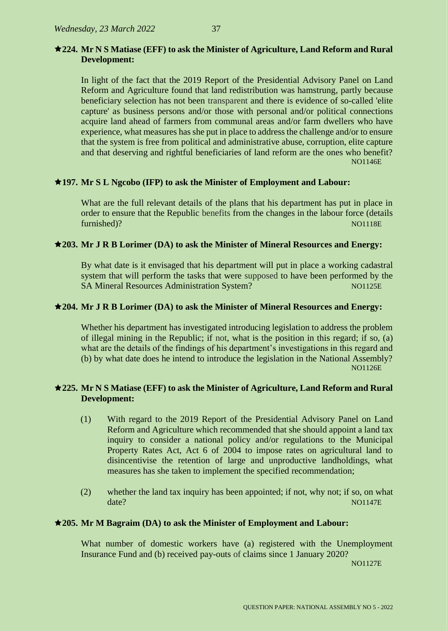## **224. Mr N S Matiase (EFF) to ask the Minister of Agriculture, Land Reform and Rural Development:**

In light of the fact that the 2019 Report of the Presidential Advisory Panel on Land Reform and Agriculture found that land redistribution was hamstrung, partly because beneficiary selection has not been transparent and there is evidence of so-called 'elite capture' as business persons and/or those with personal and/or political connections acquire land ahead of farmers from communal areas and/or farm dwellers who have experience, what measures has she put in place to address the challenge and/or to ensure that the system is free from political and administrative abuse, corruption, elite capture and that deserving and rightful beneficiaries of land reform are the ones who benefit? NO1146E

## **197. Mr S L Ngcobo (IFP) to ask the Minister of Employment and Labour:**

What are the full relevant details of the plans that his department has put in place in order to ensure that the Republic benefits from the changes in the labour force (details furnished)? Note that the contract of the contract of the contract of the contract of the contract of the contract of the contract of the contract of the contract of the contract of the contract of the contract of the cont

## **203. Mr J R B Lorimer (DA) to ask the Minister of Mineral Resources and Energy:**

By what date is it envisaged that his department will put in place a working cadastral system that will perform the tasks that were supposed to have been performed by the SA Mineral Resources Administration System? NO1125E

## **204. Mr J R B Lorimer (DA) to ask the Minister of Mineral Resources and Energy:**

Whether his department has investigated introducing legislation to address the problem of illegal mining in the Republic; if not, what is the position in this regard; if so, (a) what are the details of the findings of his department's investigations in this regard and (b) by what date does he intend to introduce the legislation in the National Assembly? NO1126E

## **225. Mr N S Matiase (EFF) to ask the Minister of Agriculture, Land Reform and Rural Development:**

- (1) With regard to the 2019 Report of the Presidential Advisory Panel on Land Reform and Agriculture which recommended that she should appoint a land tax inquiry to consider a national policy and/or regulations to the Municipal Property Rates Act, Act 6 of 2004 to impose rates on agricultural land to disincentivise the retention of large and unproductive landholdings, what measures has she taken to implement the specified recommendation;
- (2) whether the land tax inquiry has been appointed; if not, why not; if so, on what date? NO1147E

## **205. Mr M Bagraim (DA) to ask the Minister of Employment and Labour:**

What number of domestic workers have (a) registered with the Unemployment Insurance Fund and (b) received pay-outs of claims since 1 January 2020?

NO1127E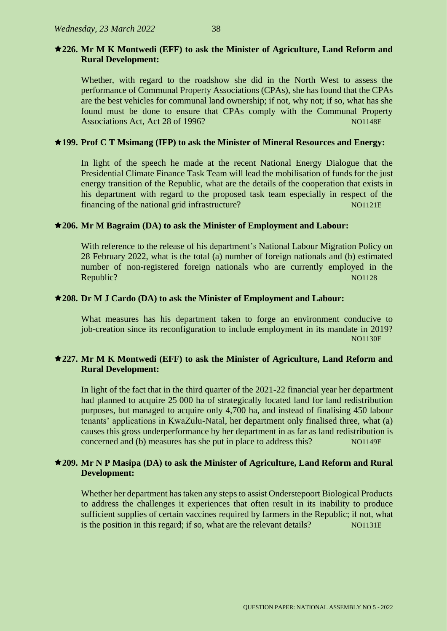## **226. Mr M K Montwedi (EFF) to ask the Minister of Agriculture, Land Reform and Rural Development:**

Whether, with regard to the roadshow she did in the North West to assess the performance of Communal Property Associations (CPAs), she has found that the CPAs are the best vehicles for communal land ownership; if not, why not; if so, what has she found must be done to ensure that CPAs comply with the Communal Property Associations Act, Act 28 of 1996?

## **199. Prof C T Msimang (IFP) to ask the Minister of Mineral Resources and Energy:**

In light of the speech he made at the recent National Energy Dialogue that the Presidential Climate Finance Task Team will lead the mobilisation of funds for the just energy transition of the Republic, what are the details of the cooperation that exists in his department with regard to the proposed task team especially in respect of the financing of the national grid infrastructure? NO1121E

## **206. Mr M Bagraim (DA) to ask the Minister of Employment and Labour:**

With reference to the release of his department's National Labour Migration Policy on 28 February 2022, what is the total (a) number of foreign nationals and (b) estimated number of non-registered foreign nationals who are currently employed in the Republic? Note that the contract of the contract of the contract of the contract of the contract of the contract of the contract of the contract of the contract of the contract of the contract of the contract of the contra

## **208. Dr M J Cardo (DA) to ask the Minister of Employment and Labour:**

What measures has his department taken to forge an environment conducive to job-creation since its reconfiguration to include employment in its mandate in 2019? NO1130E

## **227. Mr M K Montwedi (EFF) to ask the Minister of Agriculture, Land Reform and Rural Development:**

In light of the fact that in the third quarter of the 2021-22 financial year her department had planned to acquire 25 000 ha of strategically located land for land redistribution purposes, but managed to acquire only 4,700 ha, and instead of finalising 450 labour tenants' applications in KwaZulu-Natal, her department only finalised three, what (a) causes this gross underperformance by her department in as far as land redistribution is concerned and (b) measures has she put in place to address this? NO1149E

## **209. Mr N P Masipa (DA) to ask the Minister of Agriculture, Land Reform and Rural Development:**

Whether her department has taken any steps to assist Onderstepoort Biological Products to address the challenges it experiences that often result in its inability to produce sufficient supplies of certain vaccines required by farmers in the Republic; if not, what is the position in this regard; if so, what are the relevant details? NO1131E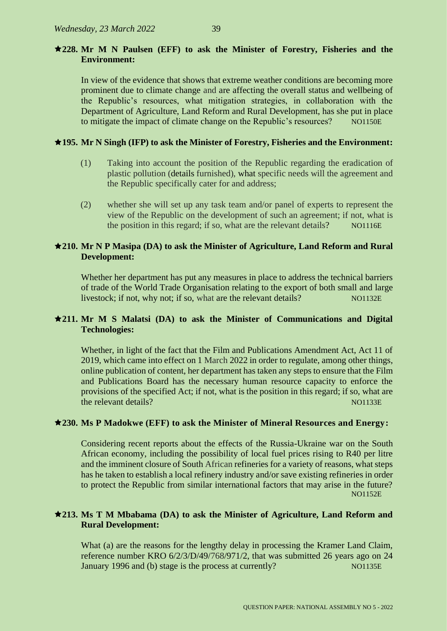## **228. Mr M N Paulsen (EFF) to ask the Minister of Forestry, Fisheries and the Environment:**

In view of the evidence that shows that extreme weather conditions are becoming more prominent due to climate change and are affecting the overall status and wellbeing of the Republic's resources, what mitigation strategies, in collaboration with the Department of Agriculture, Land Reform and Rural Development, has she put in place to mitigate the impact of climate change on the Republic's resources? NO1150E

## **195. Mr N Singh (IFP) to ask the Minister of Forestry, Fisheries and the Environment:**

- (1) Taking into account the position of the Republic regarding the eradication of plastic pollution (details furnished), what specific needs will the agreement and the Republic specifically cater for and address;
- (2) whether she will set up any task team and/or panel of experts to represent the view of the Republic on the development of such an agreement; if not, what is the position in this regard; if so, what are the relevant details? NO1116E

## **210. Mr N P Masipa (DA) to ask the Minister of Agriculture, Land Reform and Rural Development:**

Whether her department has put any measures in place to address the technical barriers of trade of the World Trade Organisation relating to the export of both small and large livestock; if not, why not; if so, what are the relevant details? NO1132E

## **211. Mr M S Malatsi (DA) to ask the Minister of Communications and Digital Technologies:**

Whether, in light of the fact that the Film and Publications Amendment Act, Act 11 of 2019, which came into effect on 1 March 2022 in order to regulate, among other things, online publication of content, her department has taken any steps to ensure that the Film and Publications Board has the necessary human resource capacity to enforce the provisions of the specified Act; if not, what is the position in this regard; if so, what are the relevant details? Note that the relevant details?

## **230. Ms P Madokwe (EFF) to ask the Minister of Mineral Resources and Energy:**

Considering recent reports about the effects of the Russia-Ukraine war on the South African economy, including the possibility of local fuel prices rising to R40 per litre and the imminent closure of South African refineries for a variety of reasons, what steps has he taken to establish a local refinery industry and/or save existing refineries in order to protect the Republic from similar international factors that may arise in the future? NO1152E

## **213. Ms T M Mbabama (DA) to ask the Minister of Agriculture, Land Reform and Rural Development:**

What (a) are the reasons for the lengthy delay in processing the Kramer Land Claim, reference number KRO 6/2/3/D/49/768/971/2, that was submitted 26 years ago on 24 January 1996 and (b) stage is the process at currently? NO1135E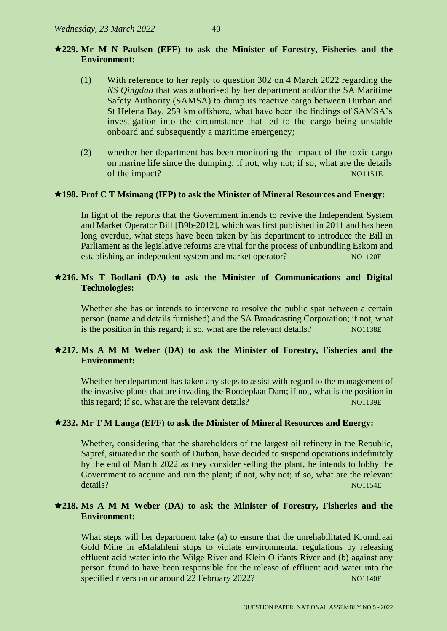#### **229. Mr M N Paulsen (EFF) to ask the Minister of Forestry, Fisheries and the Environment:**

- (1) With reference to her reply to question 302 on 4 March 2022 regarding the *NS Qingdao* that was authorised by her department and/or the SA Maritime Safety Authority (SAMSA) to dump its reactive cargo between Durban and St Helena Bay, 259 km offshore, what have been the findings of SAMSA's investigation into the circumstance that led to the cargo being unstable onboard and subsequently a maritime emergency;
- (2) whether her department has been monitoring the impact of the toxic cargo on marine life since the dumping; if not, why not; if so, what are the details of the impact? NO1151E

#### **198. Prof C T Msimang (IFP) to ask the Minister of Mineral Resources and Energy:**

In light of the reports that the Government intends to revive the Independent System and Market Operator Bill [B9b-2012], which was first published in 2011 and has been long overdue, what steps have been taken by his department to introduce the Bill in Parliament as the legislative reforms are vital for the process of unbundling Eskom and establishing an independent system and market operator? NO1120E

## **216. Ms T Bodlani (DA) to ask the Minister of Communications and Digital Technologies:**

Whether she has or intends to intervene to resolve the public spat between a certain person (name and details furnished) and the SA Broadcasting Corporation; if not, what is the position in this regard; if so, what are the relevant details? NO1138E

#### **217. Ms A M M Weber (DA) to ask the Minister of Forestry, Fisheries and the Environment:**

Whether her department has taken any steps to assist with regard to the management of the invasive plants that are invading the Roodeplaat Dam; if not, what is the position in this regard; if so, what are the relevant details? NO1139E

#### **232. Mr T M Langa (EFF) to ask the Minister of Mineral Resources and Energy:**

Whether, considering that the shareholders of the largest oil refinery in the Republic, Sapref, situated in the south of Durban, have decided to suspend operations indefinitely by the end of March 2022 as they consider selling the plant, he intends to lobby the Government to acquire and run the plant; if not, why not; if so, what are the relevant details? NO1154E

#### **218. Ms A M M Weber (DA) to ask the Minister of Forestry, Fisheries and the Environment:**

What steps will her department take (a) to ensure that the unrehabilitated Kromdraai Gold Mine in eMalahleni stops to violate environmental regulations by releasing effluent acid water into the Wilge River and Klein Olifants River and (b) against any person found to have been responsible for the release of effluent acid water into the specified rivers on or around 22 February 2022?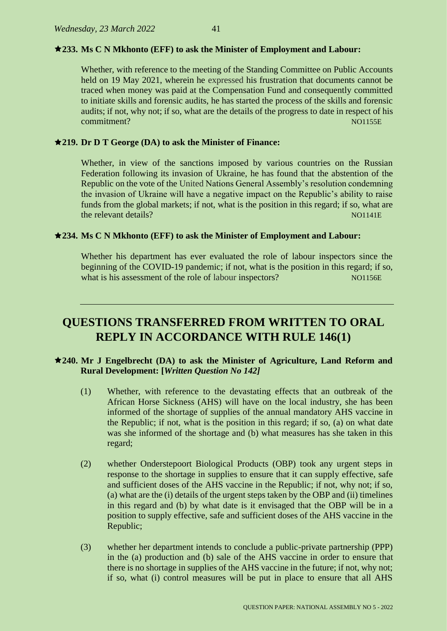#### **233. Ms C N Mkhonto (EFF) to ask the Minister of Employment and Labour:**

Whether, with reference to the meeting of the Standing Committee on Public Accounts held on 19 May 2021, wherein he expressed his frustration that documents cannot be traced when money was paid at the Compensation Fund and consequently committed to initiate skills and forensic audits, he has started the process of the skills and forensic audits; if not, why not; if so, what are the details of the progress to date in respect of his commitment? NO1155E

#### **219. Dr D T George (DA) to ask the Minister of Finance:**

Whether, in view of the sanctions imposed by various countries on the Russian Federation following its invasion of Ukraine, he has found that the abstention of the Republic on the vote of the United Nations General Assembly's resolution condemning the invasion of Ukraine will have a negative impact on the Republic's ability to raise funds from the global markets; if not, what is the position in this regard; if so, what are the relevant details? No have a set of the relevant details and the relevant details and the relevant details below  $\sim$  NO1141E.

#### **234. Ms C N Mkhonto (EFF) to ask the Minister of Employment and Labour:**

Whether his department has ever evaluated the role of labour inspectors since the beginning of the COVID-19 pandemic; if not, what is the position in this regard; if so, what is his assessment of the role of labour inspectors? NO1156E

# **QUESTIONS TRANSFERRED FROM WRITTEN TO ORAL REPLY IN ACCORDANCE WITH RULE 146(1)**

#### **240. Mr J Engelbrecht (DA) to ask the Minister of Agriculture, Land Reform and Rural Development: [***Written Question No 142]*

- (1) Whether, with reference to the devastating effects that an outbreak of the African Horse Sickness (AHS) will have on the local industry, she has been informed of the shortage of supplies of the annual mandatory AHS vaccine in the Republic; if not, what is the position in this regard; if so, (a) on what date was she informed of the shortage and (b) what measures has she taken in this regard;
- (2) whether Onderstepoort Biological Products (OBP) took any urgent steps in response to the shortage in supplies to ensure that it can supply effective, safe and sufficient doses of the AHS vaccine in the Republic; if not, why not; if so, (a) what are the (i) details of the urgent steps taken by the OBP and (ii) timelines in this regard and (b) by what date is it envisaged that the OBP will be in a position to supply effective, safe and sufficient doses of the AHS vaccine in the Republic;
- (3) whether her department intends to conclude a public-private partnership (PPP) in the (a) production and (b) sale of the AHS vaccine in order to ensure that there is no shortage in supplies of the AHS vaccine in the future; if not, why not; if so, what (i) control measures will be put in place to ensure that all AHS